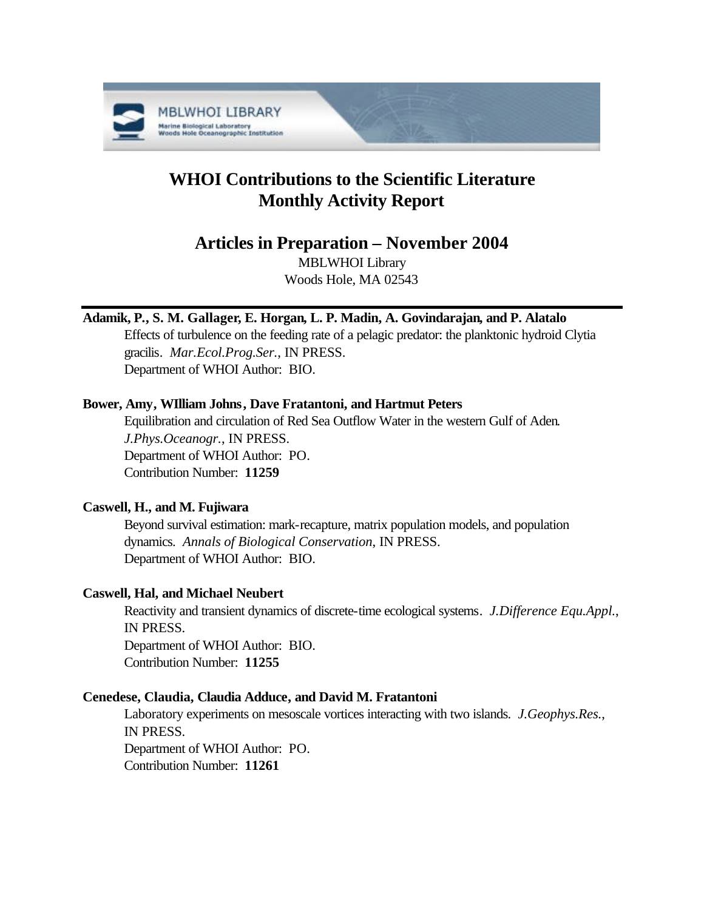

# **WHOI Contributions to the Scientific Literature Monthly Activity Report**

## **Articles in Preparation – November 2004**

MBLWHOI Library Woods Hole, MA 02543

## **Adamik, P., S. M. Gallager, E. Horgan, L. P. Madin, A. Govindarajan, and P. Alatalo**

Effects of turbulence on the feeding rate of a pelagic predator: the planktonic hydroid Clytia gracilis. *Mar.Ecol.Prog.Ser.*, IN PRESS. Department of WHOI Author: BIO.

## **Bower, Amy, WIlliam Johns, Dave Fratantoni, and Hartmut Peters**

Equilibration and circulation of Red Sea Outflow Water in the western Gulf of Aden. *J.Phys.Oceanogr.*, IN PRESS. Department of WHOI Author: PO. Contribution Number: **11259**

## **Caswell, H., and M. Fujiwara**

Beyond survival estimation: mark-recapture, matrix population models, and population dynamics. *Annals of Biological Conservation*, IN PRESS. Department of WHOI Author: BIO.

## **Caswell, Hal, and Michael Neubert**

Reactivity and transient dynamics of discrete-time ecological systems. *J.Difference Equ.Appl.*, IN PRESS. Department of WHOI Author: BIO. Contribution Number: **11255**

## **Cenedese, Claudia, Claudia Adduce, and David M. Fratantoni**

Laboratory experiments on mesoscale vortices interacting with two islands. *J.Geophys.Res.*, IN PRESS. Department of WHOI Author: PO. Contribution Number: **11261**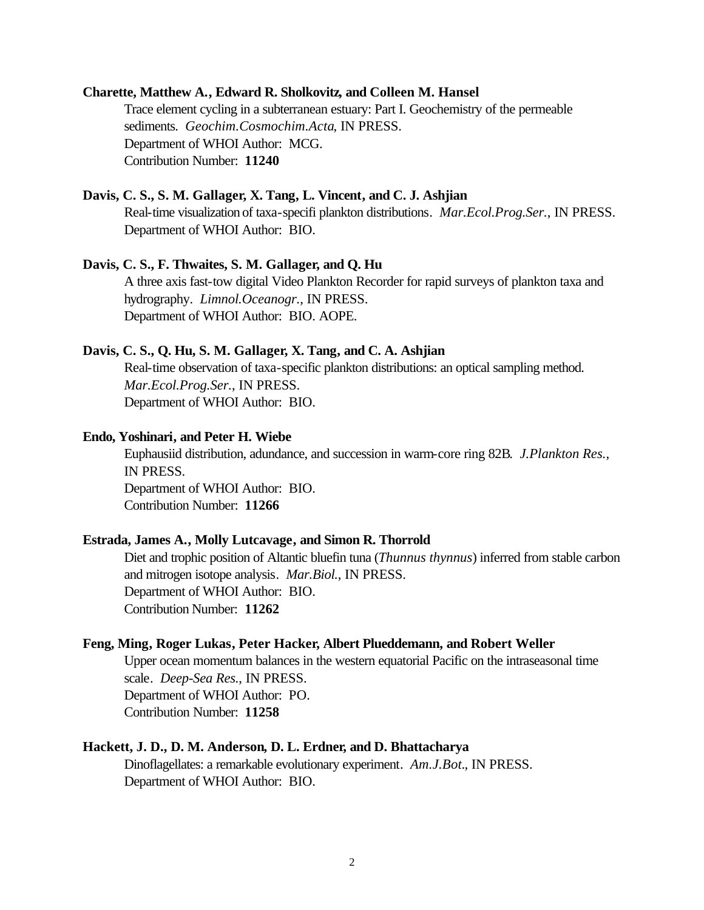#### **Charette, Matthew A., Edward R. Sholkovitz, and Colleen M. Hansel**

Trace element cycling in a subterranean estuary: Part I. Geochemistry of the permeable sediments. *Geochim.Cosmochim.Acta*, IN PRESS. Department of WHOI Author: MCG. Contribution Number: **11240**

### **Davis, C. S., S. M. Gallager, X. Tang, L. Vincent, and C. J. Ashjian**

Real-time visualization of taxa-specifi plankton distributions. *Mar.Ecol.Prog.Ser.*, IN PRESS. Department of WHOI Author: BIO.

#### **Davis, C. S., F. Thwaites, S. M. Gallager, and Q. Hu**

A three axis fast-tow digital Video Plankton Recorder for rapid surveys of plankton taxa and hydrography. *Limnol.Oceanogr.*, IN PRESS. Department of WHOI Author: BIO. AOPE.

#### **Davis, C. S., Q. Hu, S. M. Gallager, X. Tang, and C. A. Ashjian**

Real-time observation of taxa-specific plankton distributions: an optical sampling method. *Mar.Ecol.Prog.Ser.*, IN PRESS. Department of WHOI Author: BIO.

#### **Endo, Yoshinari, and Peter H. Wiebe**

Euphausiid distribution, adundance, and succession in warm-core ring 82B. *J.Plankton Res.*, IN PRESS. Department of WHOI Author: BIO. Contribution Number: **11266**

#### **Estrada, James A., Molly Lutcavage, and Simon R. Thorrold**

Diet and trophic position of Altantic bluefin tuna (*Thunnus thynnus*) inferred from stable carbon and mitrogen isotope analysis. *Mar.Biol.*, IN PRESS. Department of WHOI Author: BIO. Contribution Number: **11262**

#### **Feng, Ming, Roger Lukas, Peter Hacker, Albert Plueddemann, and Robert Weller**

Upper ocean momentum balances in the western equatorial Pacific on the intraseasonal time scale. *Deep-Sea Res.*, IN PRESS. Department of WHOI Author: PO. Contribution Number: **11258**

#### **Hackett, J. D., D. M. Anderson, D. L. Erdner, and D. Bhattacharya**

Dinoflagellates: a remarkable evolutionary experiment. *Am.J.Bot.*, IN PRESS. Department of WHOI Author: BIO.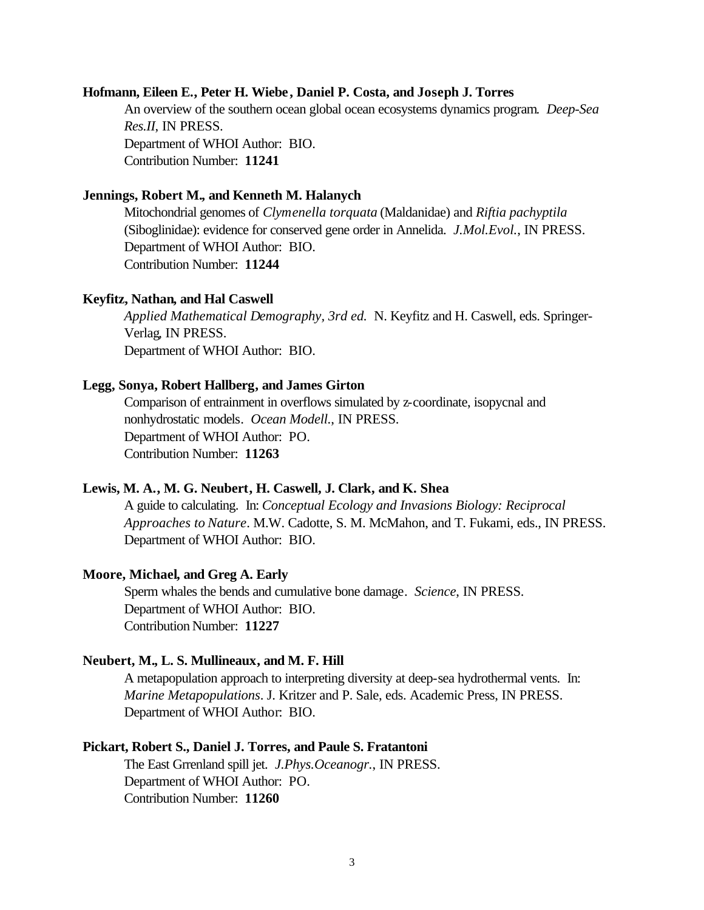#### **Hofmann, Eileen E., Peter H. Wiebe, Daniel P. Costa, and Joseph J. Torres**

An overview of the southern ocean global ocean ecosystems dynamics program. *Deep-Sea Res.II*, IN PRESS. Department of WHOI Author: BIO. Contribution Number: **11241**

#### **Jennings, Robert M., and Kenneth M. Halanych**

Mitochondrial genomes of *Clymenella torquata* (Maldanidae) and *Riftia pachyptila* (Siboglinidae): evidence for conserved gene order in Annelida. *J.Mol.Evol.*, IN PRESS. Department of WHOI Author: BIO. Contribution Number: **11244**

#### **Keyfitz, Nathan, and Hal Caswell**

*Applied Mathematical Demography, 3rd ed.* N. Keyfitz and H. Caswell, eds. Springer-Verlag, IN PRESS. Department of WHOI Author: BIO.

#### **Legg, Sonya, Robert Hallberg, and James Girton**

Comparison of entrainment in overflows simulated by z-coordinate, isopycnal and nonhydrostatic models. *Ocean Modell.*, IN PRESS. Department of WHOI Author: PO. Contribution Number: **11263**

#### **Lewis, M. A., M. G. Neubert, H. Caswell, J. Clark, and K. Shea**

A guide to calculating. In: *Conceptual Ecology and Invasions Biology: Reciprocal Approaches to Nature*. M.W. Cadotte, S. M. McMahon, and T. Fukami, eds., IN PRESS. Department of WHOI Author: BIO.

#### **Moore, Michael, and Greg A. Early**

Sperm whales the bends and cumulative bone damage. *Science*, IN PRESS. Department of WHOI Author: BIO. Contribution Number: **11227**

#### **Neubert, M., L. S. Mullineaux, and M. F. Hill**

A metapopulation approach to interpreting diversity at deep-sea hydrothermal vents. In: *Marine Metapopulations*. J. Kritzer and P. Sale, eds. Academic Press, IN PRESS. Department of WHOI Author: BIO.

#### **Pickart, Robert S., Daniel J. Torres, and Paule S. Fratantoni**

The East Grrenland spill jet. *J.Phys.Oceanogr.*, IN PRESS. Department of WHOI Author: PO. Contribution Number: **11260**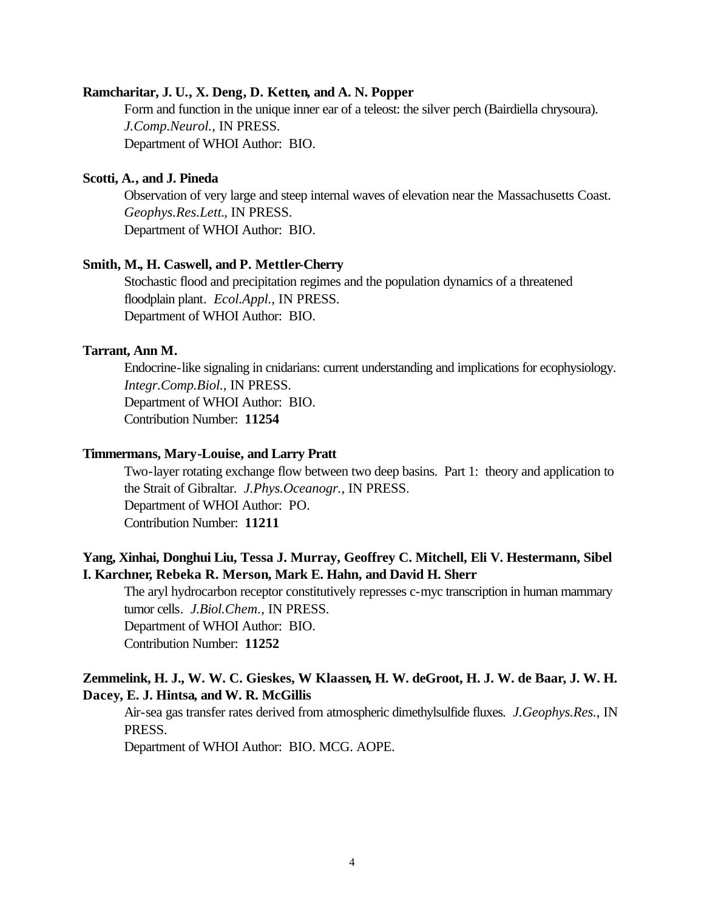#### **Ramcharitar, J. U., X. Deng, D. Ketten, and A. N. Popper**

Form and function in the unique inner ear of a teleost: the silver perch (Bairdiella chrysoura). *J.Comp.Neurol.*, IN PRESS. Department of WHOI Author: BIO.

#### **Scotti, A., and J. Pineda**

Observation of very large and steep internal waves of elevation near the Massachusetts Coast. *Geophys.Res.Lett.*, IN PRESS. Department of WHOI Author: BIO.

### **Smith, M., H. Caswell, and P. Mettler-Cherry**

Stochastic flood and precipitation regimes and the population dynamics of a threatened floodplain plant. *Ecol.Appl.*, IN PRESS. Department of WHOI Author: BIO.

#### **Tarrant, Ann M.**

Endocrine-like signaling in cnidarians: current understanding and implications for ecophysiology. *Integr.Comp.Biol.*, IN PRESS. Department of WHOI Author: BIO. Contribution Number: **11254**

#### **Timmermans, Mary-Louise, and Larry Pratt**

Two-layer rotating exchange flow between two deep basins. Part 1: theory and application to the Strait of Gibraltar. *J.Phys.Oceanogr.*, IN PRESS. Department of WHOI Author: PO. Contribution Number: **11211**

## **Yang, Xinhai, Donghui Liu, Tessa J. Murray, Geoffrey C. Mitchell, Eli V. Hestermann, Sibel I. Karchner, Rebeka R. Merson, Mark E. Hahn, and David H. Sherr**

The aryl hydrocarbon receptor constitutively represses c-myc transcription in human mammary tumor cells. *J.Biol.Chem.*, IN PRESS. Department of WHOI Author: BIO.

Contribution Number: **11252**

## **Zemmelink, H. J., W. W. C. Gieskes, W Klaassen, H. W. deGroot, H. J. W. de Baar, J. W. H. Dacey, E. J. Hintsa, and W. R. McGillis**

Air-sea gas transfer rates derived from atmospheric dimethylsulfide fluxes. *J.Geophys.Res.*, IN PRESS.

Department of WHOI Author: BIO. MCG. AOPE.